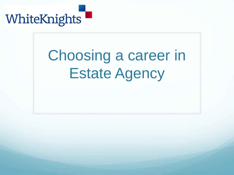

## Choosing a career in Estate Agency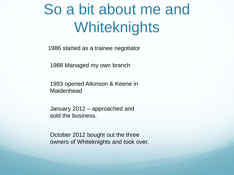## So a bit about me and **Whiteknights**

1986 started as a trainee negotiator

1988 Managed my own branch

1993 opened Atkinson & Keene in **Maidenhead** 

January 2012 – approached and sold the business.

October 2012 bought out the three owners of Whiteknights and took over.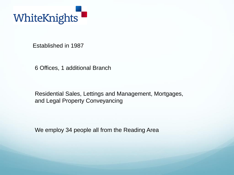

Established in 1987

6 Offices, 1 additional Branch

Residential Sales, Lettings and Management, Mortgages, and Legal Property Conveyancing

We employ 34 people all from the Reading Area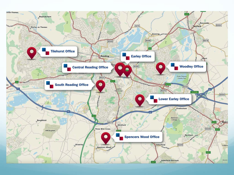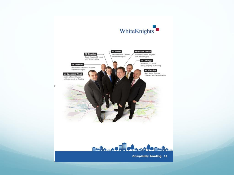

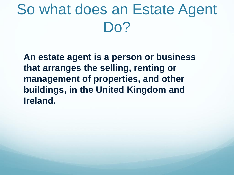## So what does an Estate Agent Do?

**An estate agent is a person or business that arranges the selling, renting or management of properties, and other buildings, in the United Kingdom and Ireland.**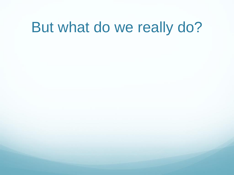## But what do we really do?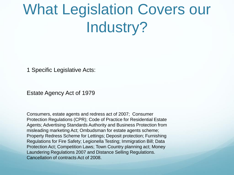## What Legislation Covers our Industry?

1 Specific Legislative Acts:

Estate Agency Act of 1979

Consumers, estate agents and redress act of 2007; Consumer Protection Regulations (CPR); Code of Practice for Residential Estate Agents; Advertising Standards Authority and Business Protection from misleading marketing Act; Ombudsman for estate agents scheme; Property Redress Scheme for Lettings; Deposit protection; Furnishing Regulations for Fire Safety; Legionella Testing; Immigration Bill; Data Protection Act; Competition Laws; Town Country planning act; Money Laundering Regulations 2007 and Distance Selling Regulations. Cancellation of contracts Act of 2008.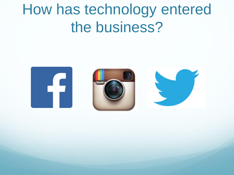## How has technology entered the business?

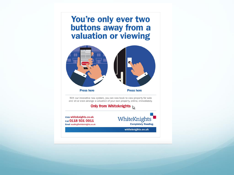## You're only ever two **buttons away from a**<br>valuation or viewing



With our innovative new system, you can now book to view property for sale and let or even arrange a valuation of your own property, online, immediately.

Only from Whiteknights  $\mathcal{R}$ 

Click whiteknights.co.uk Call 0118 931 0011 Email reading@whiteknights.co.uk WhiteKnights **Completely Reading.** 

whiteknights.co.uk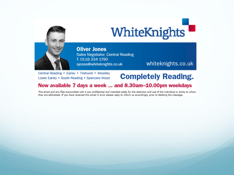

**Oliver Jones** Sales Negotiator, Central Reading T: 0118 334 1790 ojones@whiteknights.co.uk

whiteknights.co.uk

Central Reading . Earley . Tilehurst . Woodley Lower Earley . South Reading . Spencers Wood

### **Completely Reading.**

#### Now available 7 days a week ... and 8.30am-10.00pm weekdays

This email and any files transmitted with it are confidential and intended solely for the attention and use of the individual or entity to whom they are addressed. If you have received this email in error please reply to inform us accordingly, prior to deleting the message.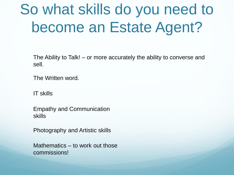## So what skills do you need to become an Estate Agent?

The Ability to Talk! – or more accurately the ability to converse and sell.

The Written word.

IT skills

Empathy and Communication skills

Photography and Artistic skills

Mathematics – to work out those commissions!